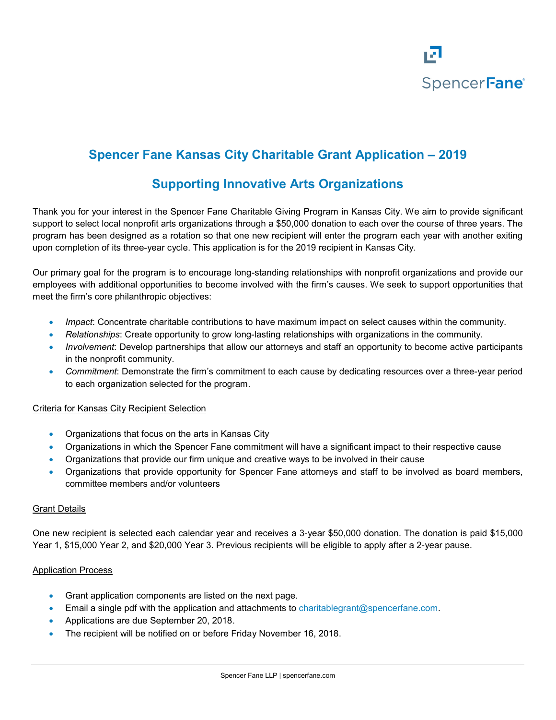

# **Spencer Fane Kansas City Charitable Grant Application – 2019**

## **Supporting Innovative Arts Organizations**

Thank you for your interest in the Spencer Fane Charitable Giving Program in Kansas City. We aim to provide significant support to select local nonprofit arts organizations through a \$50,000 donation to each over the course of three years. The program has been designed as a rotation so that one new recipient will enter the program each year with another exiting upon completion of its three-year cycle. This application is for the 2019 recipient in Kansas City.

Our primary goal for the program is to encourage long-standing relationships with nonprofit organizations and provide our employees with additional opportunities to become involved with the firm's causes. We seek to support opportunities that meet the firm's core philanthropic objectives:

- *Impact*: Concentrate charitable contributions to have maximum impact on select causes within the community.
- *Relationships*: Create opportunity to grow long-lasting relationships with organizations in the community.
- *Involvement*: Develop partnerships that allow our attorneys and staff an opportunity to become active participants in the nonprofit community.
- *Commitment*: Demonstrate the firm's commitment to each cause by dedicating resources over a three-year period to each organization selected for the program.

#### Criteria for Kansas City Recipient Selection

- Organizations that focus on the arts in Kansas City
- Organizations in which the Spencer Fane commitment will have a significant impact to their respective cause
- Organizations that provide our firm unique and creative ways to be involved in their cause
- Organizations that provide opportunity for Spencer Fane attorneys and staff to be involved as board members, committee members and/or volunteers

#### Grant Details

One new recipient is selected each calendar year and receives a 3-year \$50,000 donation. The donation is paid \$15,000 Year 1, \$15,000 Year 2, and \$20,000 Year 3. Previous recipients will be eligible to apply after a 2-year pause.

#### Application Process

- Grant application components are listed on the next page.
- Email a single pdf with the application and attachments to [charitablegrant@spencerfane.com.](mailto:charitablegrant@spencerfane.com)
- Applications are due September 20, 2018.
- The recipient will be notified on or before Friday November 16, 2018.